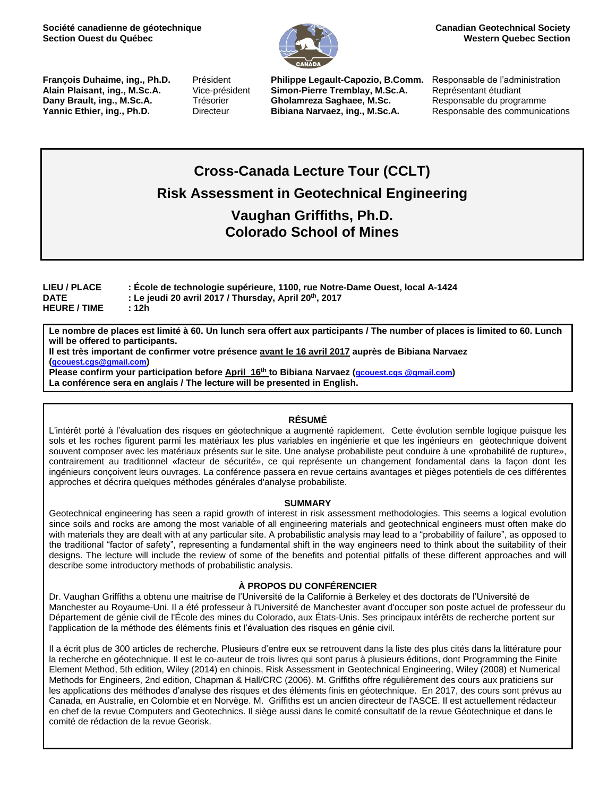

**François Duhaime, ing., Ph.D.** Président **Philippe Legault-Capozio, B.Comm.** Responsable de l'administration **Alain Plaisant, ing., M.Sc.A.** Vice-président **Simon-Pierre Tremblay, M.Sc.A.** Représentant étudiant **Dany Brault, ing., M.Sc.A.** Trésorier **Gholamreza Saghaee, M.Sc.** Responsable du programme **Yannic Ethier, ing., Ph.D.** Directeur **Bibiana Narvaez, ing., M.Sc.A.** Responsable des communications

# **Cross-Canada Lecture Tour (CCLT) Risk Assessment in Geotechnical Engineering Vaughan Griffiths, Ph.D.**

**Colorado School of Mines**

**LIEU / PLACE : École de technologie supérieure, 1100, rue Notre-Dame Ouest, local A-1424 DATE : Le jeudi 20 avril 2017 / Thursday, April 20 th, 2017 HEURE / TIME : 12h**

**Le nombre de places est limité à 60. Un lunch sera offert aux participants / The number of places is limited to 60. Lunch will be offered to participants.** 

**Il est très important de confirmer votre présence avant le 16 avril 2017 auprès de Bibiana Narvaez ([qcouest.cgs@gmail.com](mailto:qcouest.cgs@gmail.com))**

**Please confirm your participation before April 16 th to Bibiana Narvaez (qcouest.cgs @gmail.com) La conférence sera en anglais / The lecture will be presented in English.**

### **RÉSUMÉ**

L'intérêt porté à l'évaluation des risques en géotechnique a augmenté rapidement. Cette évolution semble logique puisque les sols et les roches figurent parmi les matériaux les plus variables en ingénierie et que les ingénieurs en géotechnique doivent souvent composer avec les matériaux présents sur le site. Une analyse probabiliste peut conduire à une «probabilité de rupture», contrairement au traditionnel «facteur de sécurité», ce qui représente un changement fondamental dans la façon dont les ingénieurs conçoivent leurs ouvrages. La conférence passera en revue certains avantages et pièges potentiels de ces différentes approches et décrira quelques méthodes générales d'analyse probabiliste.

### **SUMMARY**

Geotechnical engineering has seen a rapid growth of interest in risk assessment methodologies. This seems a logical evolution since soils and rocks are among the most variable of all engineering materials and geotechnical engineers must often make do with materials they are dealt with at any particular site. A probabilistic analysis may lead to a "probability of failure", as opposed to the traditional "factor of safety", representing a fundamental shift in the way engineers need to think about the suitability of their designs. The lecture will include the review of some of the benefits and potential pitfalls of these different approaches and will describe some introductory methods of probabilistic analysis.

### **À PROPOS DU CONFÉRENCIER**

Dr. Vaughan Griffiths a obtenu une maitrise de l'Université de la Californie à Berkeley et des doctorats de l'Université de Manchester au Royaume-Uni. Il a été professeur à l'Université de Manchester avant d'occuper son poste actuel de professeur du Département de génie civil de l'École des mines du Colorado, aux États-Unis. Ses principaux intérêts de recherche portent sur l'application de la méthode des éléments finis et l'évaluation des risques en génie civil.

Il a écrit plus de 300 articles de recherche. Plusieurs d'entre eux se retrouvent dans la liste des plus cités dans la littérature pour la recherche en géotechnique. Il est le co-auteur de trois livres qui sont parus à plusieurs éditions, dont Programming the Finite Element Method, 5th edition, Wiley (2014) en chinois, Risk Assessment in Geotechnical Engineering, Wiley (2008) et Numerical Methods for Engineers, 2nd edition, Chapman & Hall/CRC (2006). M. Griffiths offre régulièrement des cours aux praticiens sur les applications des méthodes d'analyse des risques et des éléments finis en géotechnique. En 2017, des cours sont prévus au Canada, en Australie, en Colombie et en Norvège. M. Griffiths est un ancien directeur de l'ASCE. Il est actuellement rédacteur en chef de la revue Computers and Geotechnics. Il siège aussi dans le comité consultatif de la revue Géotechnique et dans le comité de rédaction de la revue Georisk.